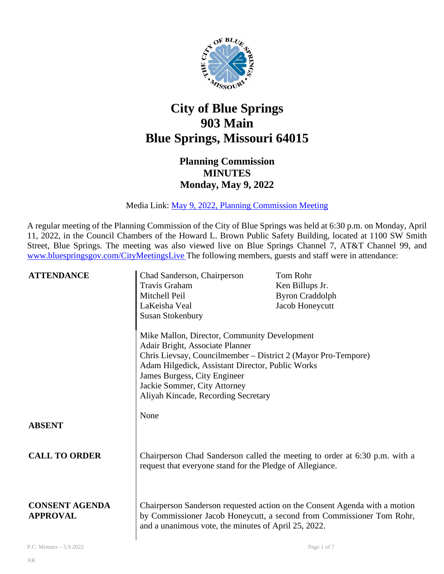

## **City of Blue Springs 903 Main Blue Springs, Missouri 64015**

## **Planning Commission MINUTES Monday, May 9, 2022**

Media Link: [May 9, 2022, Planning Commission Meeting](https://www.youtube.com/watch?v=ERb_FoG7fE4) 

A regular meeting of the Planning Commission of the City of Blue Springs was held at 6:30 p.m. on Monday, April 11, 2022, in the Council Chambers of the Howard L. Brown Public Safety Building, located at 1100 SW Smith Street, Blue Springs. The meeting was also viewed live on Blue Springs Channel 7, AT&T Channel 99, and [www.bluespringsgov.com/CityMeetingsLive](http://www.bluespringsgov.com/CityMeetingsLive) The following members, guests and staff were in attendance:

| <b>ATTENDANCE</b>                        | Chad Sanderson, Chairperson<br>Travis Graham<br>Mitchell Peil<br>LaKeisha Veal<br><b>Susan Stokenbury</b>                                                                                                                                                                                                   | <b>Tom Rohr</b><br>Ken Billups Jr.<br><b>Byron Craddolph</b><br>Jacob Honeycutt                                                                     |
|------------------------------------------|-------------------------------------------------------------------------------------------------------------------------------------------------------------------------------------------------------------------------------------------------------------------------------------------------------------|-----------------------------------------------------------------------------------------------------------------------------------------------------|
|                                          | Mike Mallon, Director, Community Development<br>Adair Bright, Associate Planner<br>Chris Lievsay, Councilmember - District 2 (Mayor Pro-Tempore)<br>Adam Hilgedick, Assistant Director, Public Works<br>James Burgess, City Engineer<br>Jackie Sommer, City Attorney<br>Aliyah Kincade, Recording Secretary |                                                                                                                                                     |
| <b>ABSENT</b>                            | None                                                                                                                                                                                                                                                                                                        |                                                                                                                                                     |
| <b>CALL TO ORDER</b>                     | request that everyone stand for the Pledge of Allegiance.                                                                                                                                                                                                                                                   | Chairperson Chad Sanderson called the meeting to order at 6:30 p.m. with a                                                                          |
| <b>CONSENT AGENDA</b><br><b>APPROVAL</b> | and a unanimous vote, the minutes of April 25, 2022.                                                                                                                                                                                                                                                        | Chairperson Sanderson requested action on the Consent Agenda with a motion<br>by Commissioner Jacob Honeycutt, a second from Commissioner Tom Rohr, |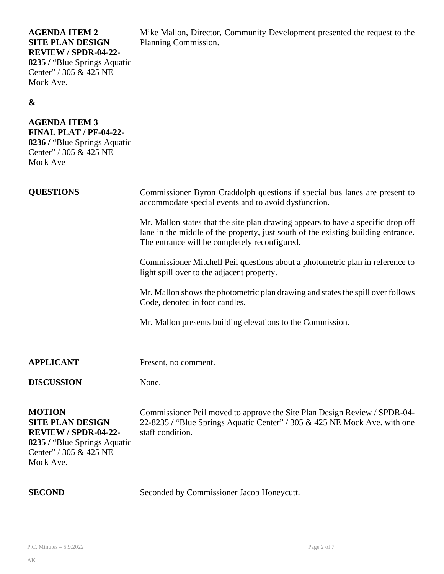| <b>AGENDA ITEM 2</b><br><b>SITE PLAN DESIGN</b><br>REVIEW / SPDR-04-22-<br>8235 / "Blue Springs Aquatic<br>Center" / 305 & 425 NE<br>Mock Ave. | Mike Mallon, Director, Community Development presented the request to the<br>Planning Commission.                                                                                                                      |
|------------------------------------------------------------------------------------------------------------------------------------------------|------------------------------------------------------------------------------------------------------------------------------------------------------------------------------------------------------------------------|
| &                                                                                                                                              |                                                                                                                                                                                                                        |
| <b>AGENDA ITEM 3</b><br><b>FINAL PLAT / PF-04-22-</b><br>8236 / "Blue Springs Aquatic<br>Center" / 305 & 425 NE<br>Mock Ave                    |                                                                                                                                                                                                                        |
| <b>QUESTIONS</b>                                                                                                                               | Commissioner Byron Craddolph questions if special bus lanes are present to<br>accommodate special events and to avoid dysfunction.                                                                                     |
|                                                                                                                                                | Mr. Mallon states that the site plan drawing appears to have a specific drop off<br>lane in the middle of the property, just south of the existing building entrance.<br>The entrance will be completely reconfigured. |
|                                                                                                                                                | Commissioner Mitchell Peil questions about a photometric plan in reference to<br>light spill over to the adjacent property.                                                                                            |
|                                                                                                                                                | Mr. Mallon shows the photometric plan drawing and states the spill over follows<br>Code, denoted in foot candles.                                                                                                      |
|                                                                                                                                                | Mr. Mallon presents building elevations to the Commission.                                                                                                                                                             |
| <b>APPLICANT</b>                                                                                                                               | Present, no comment.                                                                                                                                                                                                   |
| <b>DISCUSSION</b>                                                                                                                              | None.                                                                                                                                                                                                                  |
| <b>MOTION</b><br><b>SITE PLAN DESIGN</b><br>REVIEW / SPDR-04-22-<br>8235 / "Blue Springs Aquatic"<br>Center" / 305 & 425 NE<br>Mock Ave.       | Commissioner Peil moved to approve the Site Plan Design Review / SPDR-04-<br>22-8235 / "Blue Springs Aquatic Center" / 305 & 425 NE Mock Ave. with one<br>staff condition.                                             |
| <b>SECOND</b>                                                                                                                                  | Seconded by Commissioner Jacob Honeycutt.                                                                                                                                                                              |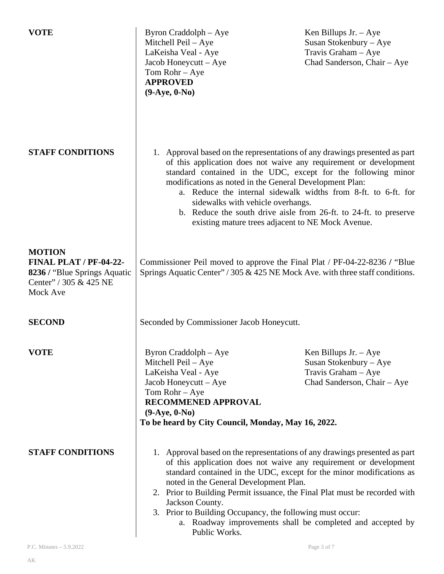| <b>VOTE</b>                                                                                                   | Byron Craddolph – Aye<br>Mitchell Peil - Aye<br>LaKeisha Veal - Aye<br>Jacob Honeycutt $-$ Aye<br>Tom $Rohr - Aye$<br><b>APPROVED</b><br>$(9-Aye, 0-No)$                                                                                                                                                                                                                                                                                                                                                       | Ken Billups Jr. $-Aye$<br>Susan Stokenbury - Aye<br>Travis Graham - Aye<br>Chad Sanderson, Chair - Aye  |
|---------------------------------------------------------------------------------------------------------------|----------------------------------------------------------------------------------------------------------------------------------------------------------------------------------------------------------------------------------------------------------------------------------------------------------------------------------------------------------------------------------------------------------------------------------------------------------------------------------------------------------------|---------------------------------------------------------------------------------------------------------|
| <b>STAFF CONDITIONS</b>                                                                                       | 1. Approval based on the representations of any drawings presented as part<br>of this application does not waive any requirement or development<br>standard contained in the UDC, except for the following minor<br>modifications as noted in the General Development Plan:<br>a. Reduce the internal sidewalk widths from 8-ft. to 6-ft. for<br>sidewalks with vehicle overhangs.<br>b. Reduce the south drive aisle from 26-ft. to 24-ft. to preserve<br>existing mature trees adjacent to NE Mock Avenue.   |                                                                                                         |
| <b>MOTION</b><br>FINAL PLAT / PF-04-22-<br>8236 / "Blue Springs Aquatic<br>Center" / 305 & 425 NE<br>Mock Ave | Commissioner Peil moved to approve the Final Plat / PF-04-22-8236 / "Blue"<br>Springs Aquatic Center" / 305 & 425 NE Mock Ave. with three staff conditions.                                                                                                                                                                                                                                                                                                                                                    |                                                                                                         |
| <b>SECOND</b>                                                                                                 | Seconded by Commissioner Jacob Honeycutt.                                                                                                                                                                                                                                                                                                                                                                                                                                                                      |                                                                                                         |
| <b>VOTE</b>                                                                                                   | Byron Craddolph - Aye<br>Mitchell Peil - Aye<br>LaKeisha Veal - Aye<br>Jacob Honeycutt – Aye<br>Tom $Rohr - Aye$<br>RECOMMENED APPROVAL<br>$(9-Aye, 0-No)$<br>To be heard by City Council, Monday, May 16, 2022.                                                                                                                                                                                                                                                                                               | Ken Billups Jr. $-$ Aye<br>Susan Stokenbury - Aye<br>Travis Graham - Aye<br>Chad Sanderson, Chair - Aye |
| <b>STAFF CONDITIONS</b>                                                                                       | 1. Approval based on the representations of any drawings presented as part<br>of this application does not waive any requirement or development<br>standard contained in the UDC, except for the minor modifications as<br>noted in the General Development Plan.<br>2. Prior to Building Permit issuance, the Final Plat must be recorded with<br>Jackson County.<br>3. Prior to Building Occupancy, the following must occur:<br>a. Roadway improvements shall be completed and accepted by<br>Public Works. |                                                                                                         |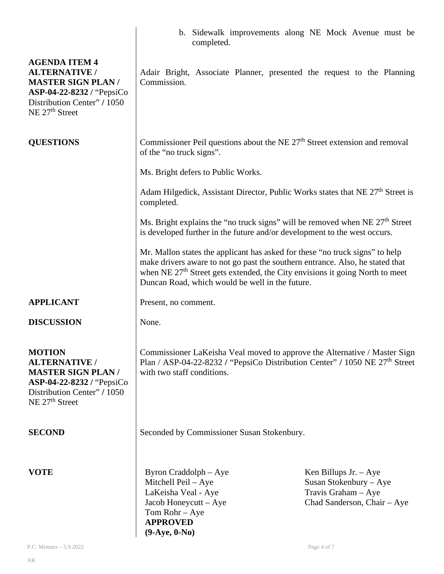|                                                                                                                                                                    | b. Sidewalk improvements along NE Mock Avenue must be<br>completed.                                                                                                                                                                                                                                          |                                                                                                           |
|--------------------------------------------------------------------------------------------------------------------------------------------------------------------|--------------------------------------------------------------------------------------------------------------------------------------------------------------------------------------------------------------------------------------------------------------------------------------------------------------|-----------------------------------------------------------------------------------------------------------|
| <b>AGENDA ITEM 4</b><br><b>ALTERNATIVE /</b><br><b>MASTER SIGN PLAN/</b><br>ASP-04-22-8232 / "PepsiCo<br>Distribution Center" / 1050<br>NE 27 <sup>th</sup> Street | Adair Bright, Associate Planner, presented the request to the Planning<br>Commission.                                                                                                                                                                                                                        |                                                                                                           |
| <b>QUESTIONS</b>                                                                                                                                                   | Commissioner Peil questions about the NE $27th$ Street extension and removal<br>of the "no truck signs".                                                                                                                                                                                                     |                                                                                                           |
|                                                                                                                                                                    | Ms. Bright defers to Public Works.                                                                                                                                                                                                                                                                           |                                                                                                           |
|                                                                                                                                                                    | Adam Hilgedick, Assistant Director, Public Works states that NE 27 <sup>th</sup> Street is<br>completed.                                                                                                                                                                                                     |                                                                                                           |
|                                                                                                                                                                    | Ms. Bright explains the "no truck signs" will be removed when NE 27 <sup>th</sup> Street<br>is developed further in the future and/or development to the west occurs.                                                                                                                                        |                                                                                                           |
|                                                                                                                                                                    | Mr. Mallon states the applicant has asked for these "no truck signs" to help<br>make drivers aware to not go past the southern entrance. Also, he stated that<br>when NE 27 <sup>th</sup> Street gets extended, the City envisions it going North to meet<br>Duncan Road, which would be well in the future. |                                                                                                           |
| <b>APPLICANT</b>                                                                                                                                                   | Present, no comment.                                                                                                                                                                                                                                                                                         |                                                                                                           |
| <b>DISCUSSION</b>                                                                                                                                                  | None.                                                                                                                                                                                                                                                                                                        |                                                                                                           |
| <b>MOTION</b><br><b>ALTERNATIVE /</b><br><b>MASTER SIGN PLAN/</b><br>ASP-04-22-8232 / "PepsiCo<br>Distribution Center" / 1050<br>NE 27 <sup>th</sup> Street        | Commissioner LaKeisha Veal moved to approve the Alternative / Master Sign<br>Plan / ASP-04-22-8232 / "PepsiCo Distribution Center" / 1050 NE 27 <sup>th</sup> Street<br>with two staff conditions.                                                                                                           |                                                                                                           |
| <b>SECOND</b>                                                                                                                                                      | Seconded by Commissioner Susan Stokenbury.                                                                                                                                                                                                                                                                   |                                                                                                           |
| <b>VOTE</b>                                                                                                                                                        | Byron Craddolph - Aye<br>Mitchell Peil - Aye<br>LaKeisha Veal - Aye<br>Jacob Honeycutt - Aye<br>Tom $Rohr - Aye$<br><b>APPROVED</b><br>$(9-Aye, 0-No)$                                                                                                                                                       | Ken Billups Jr. $-$ Aye<br>Susan Stokenbury – Aye<br>Travis Graham $-$ Aye<br>Chad Sanderson, Chair - Aye |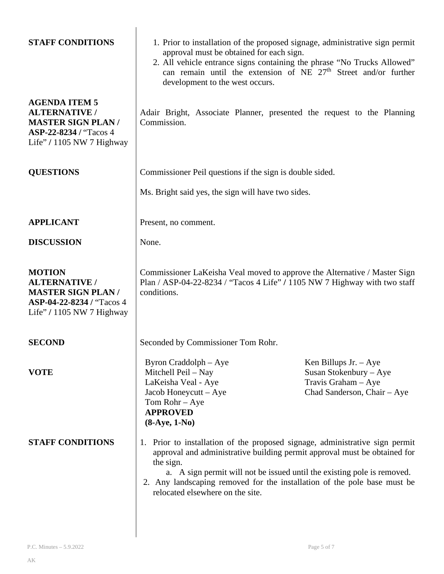| <b>STAFF CONDITIONS</b><br><b>AGENDA ITEM 5</b><br><b>ALTERNATIVE /</b><br><b>MASTER SIGN PLAN/</b><br>ASP-22-8234 / "Tacos 4<br>Life" / 1105 NW 7 Highway | 1. Prior to installation of the proposed signage, administrative sign permit<br>approval must be obtained for each sign.<br>2. All vehicle entrance signs containing the phrase "No Trucks Allowed"<br>can remain until the extension of NE $27th$ Street and/or further<br>development to the west occurs.<br>Adair Bright, Associate Planner, presented the request to the Planning<br>Commission. |                                                                                                         |
|------------------------------------------------------------------------------------------------------------------------------------------------------------|------------------------------------------------------------------------------------------------------------------------------------------------------------------------------------------------------------------------------------------------------------------------------------------------------------------------------------------------------------------------------------------------------|---------------------------------------------------------------------------------------------------------|
| <b>QUESTIONS</b>                                                                                                                                           | Commissioner Peil questions if the sign is double sided.                                                                                                                                                                                                                                                                                                                                             |                                                                                                         |
|                                                                                                                                                            | Ms. Bright said yes, the sign will have two sides.                                                                                                                                                                                                                                                                                                                                                   |                                                                                                         |
| <b>APPLICANT</b>                                                                                                                                           | Present, no comment.                                                                                                                                                                                                                                                                                                                                                                                 |                                                                                                         |
| <b>DISCUSSION</b>                                                                                                                                          | None.                                                                                                                                                                                                                                                                                                                                                                                                |                                                                                                         |
| <b>MOTION</b><br><b>ALTERNATIVE /</b><br><b>MASTER SIGN PLAN/</b><br>ASP-04-22-8234 / "Tacos 4<br>Life" / 1105 NW 7 Highway                                | Commissioner LaKeisha Veal moved to approve the Alternative / Master Sign<br>Plan / ASP-04-22-8234 / "Tacos 4 Life" / 1105 NW 7 Highway with two staff<br>conditions.                                                                                                                                                                                                                                |                                                                                                         |
| <b>SECOND</b>                                                                                                                                              | Seconded by Commissioner Tom Rohr.                                                                                                                                                                                                                                                                                                                                                                   |                                                                                                         |
| <b>VOTE</b>                                                                                                                                                | Byron Craddolph – Aye<br>Mitchell Peil - Nay<br>LaKeisha Veal - Aye<br>Jacob Honeycutt - Aye<br>Tom $Rohr - Aye$<br><b>APPROVED</b><br>$(8-Aye, 1-No)$                                                                                                                                                                                                                                               | Ken Billups Jr. $-$ Aye<br>Susan Stokenbury - Aye<br>Travis Graham - Aye<br>Chad Sanderson, Chair - Aye |
| <b>STAFF CONDITIONS</b>                                                                                                                                    | 1. Prior to installation of the proposed signage, administrative sign permit<br>approval and administrative building permit approval must be obtained for<br>the sign.<br>a. A sign permit will not be issued until the existing pole is removed.<br>2. Any landscaping removed for the installation of the pole base must be<br>relocated elsewhere on the site.                                    |                                                                                                         |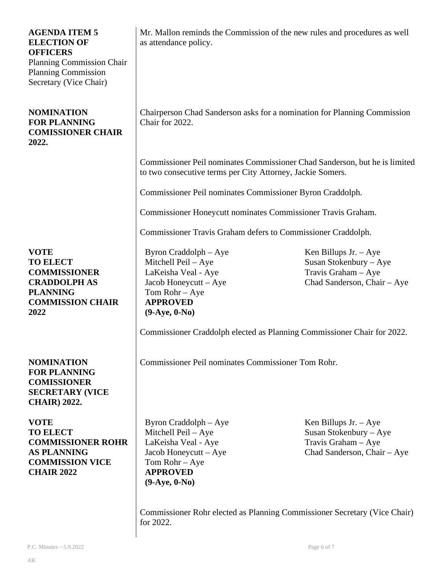| <b>AGENDA ITEM 5</b><br><b>ELECTION OF</b><br><b>OFFICERS</b><br><b>Planning Commission Chair</b><br><b>Planning Commission</b><br>Secretary (Vice Chair) | Mr. Mallon reminds the Commission of the new rules and procedures as well<br>as attendance policy.                                                   |                                                                                                           |
|-----------------------------------------------------------------------------------------------------------------------------------------------------------|------------------------------------------------------------------------------------------------------------------------------------------------------|-----------------------------------------------------------------------------------------------------------|
| <b>NOMINATION</b><br><b>FOR PLANNING</b><br><b>COMISSIONER CHAIR</b><br>2022.                                                                             | Chairperson Chad Sanderson asks for a nomination for Planning Commission<br>Chair for 2022.                                                          |                                                                                                           |
|                                                                                                                                                           | Commissioner Peil nominates Commissioner Chad Sanderson, but he is limited<br>to two consecutive terms per City Attorney, Jackie Somers.             |                                                                                                           |
|                                                                                                                                                           | Commissioner Peil nominates Commissioner Byron Craddolph.                                                                                            |                                                                                                           |
|                                                                                                                                                           | Commissioner Honeycutt nominates Commissioner Travis Graham.                                                                                         |                                                                                                           |
|                                                                                                                                                           | Commissioner Travis Graham defers to Commissioner Craddolph.                                                                                         |                                                                                                           |
| <b>VOTE</b><br><b>TO ELECT</b><br><b>COMMISSIONER</b><br><b>CRADDOLPH AS</b><br><b>PLANNING</b><br><b>COMMISSION CHAIR</b><br>2022                        | Byron Craddolph – Aye<br>Mitchell Peil - Aye<br>LaKeisha Veal - Aye<br>Jacob Honeycutt - Aye<br>Tom Rohr - Aye<br><b>APPROVED</b><br>$(9-Aye, 0-No)$ | Ken Billups Jr. $-Aye$<br>Susan Stokenbury - Aye<br>Travis Graham - Aye<br>Chad Sanderson, Chair - Aye    |
|                                                                                                                                                           | Commissioner Craddolph elected as Planning Commissioner Chair for 2022.                                                                              |                                                                                                           |
| <b>NOMINATION</b><br><b>FOR PLANNING</b><br><b>COMISSIONER</b><br><b>SECRETARY (VICE</b><br><b>CHAIR</b> ) 2022.                                          | Commissioner Peil nominates Commissioner Tom Rohr.                                                                                                   |                                                                                                           |
| <b>VOTE</b><br><b>TO ELECT</b><br><b>COMMISSIONER ROHR</b><br><b>AS PLANNING</b><br><b>COMMISSION VICE</b><br><b>CHAIR 2022</b>                           | Byron Craddolph – Aye<br>Mitchell Peil - Aye<br>LaKeisha Veal - Aye<br>Jacob Honeycutt – Aye<br>Tom Rohr - Aye<br><b>APPROVED</b><br>$(9-Aye, 0-No)$ | Ken Billups Jr. $-$ Aye<br>Susan Stokenbury - Aye<br>Travis Graham $-$ Aye<br>Chad Sanderson, Chair - Aye |

Commissioner Rohr elected as Planning Commissioner Secretary (Vice Chair) for 2022.